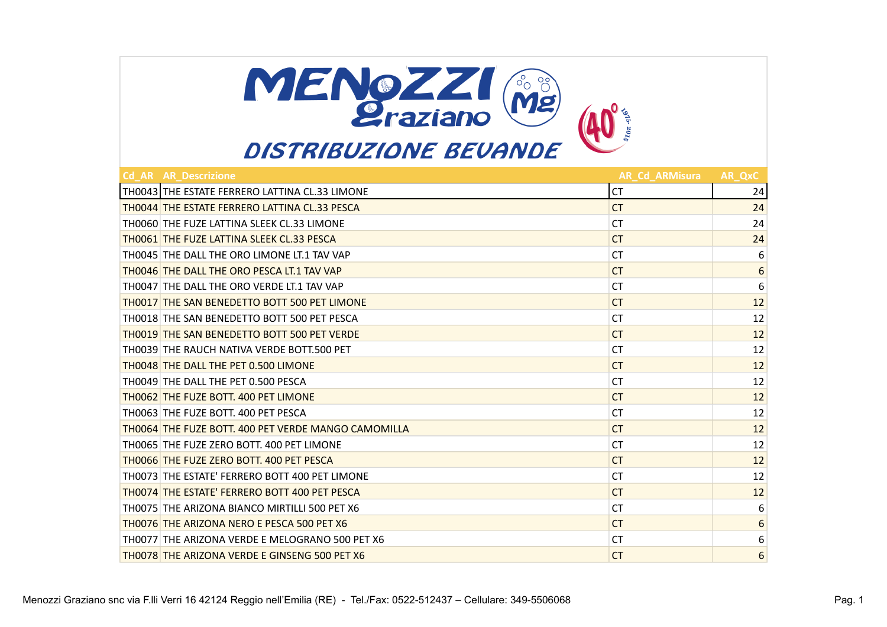

| <b>Cd AR AR Descrizione</b>                          | <b>AR Cd ARMisura</b> | AR OxC           |
|------------------------------------------------------|-----------------------|------------------|
| TH0043 THE ESTATE FERRERO LATTINA CL.33 LIMONE       | <b>CT</b>             | 24               |
| TH0044 THE ESTATE FERRERO LATTINA CL.33 PESCA        | <b>CT</b>             | 24               |
| TH0060 THE FUZE LATTINA SLEEK CL.33 LIMONE           | СT                    | 24               |
| <b>THOO61 THE FUZE LATTINA SLEEK CL.33 PESCA</b>     | <b>CT</b>             | 24               |
| TH0045 THE DALL THE ORO LIMONE LT.1 TAV VAP          | СT                    | 6                |
| <b>TH0046 THE DALL THE ORO PESCA LT.1 TAV VAP</b>    | <b>CT</b>             | 6                |
| TH0047 THE DALL THE ORO VERDE LT.1 TAV VAP           | СT                    | 6                |
| <b>THOO17 THE SAN BENEDETTO BOTT 500 PET LIMONE</b>  | <b>CT</b>             | 12               |
| TH0018 THE SAN BENEDETTO BOTT 500 PET PESCA          | СT                    | 12               |
| <b>THOO19 THE SAN BENEDETTO BOTT 500 PET VERDE</b>   | CT.                   | 12               |
| TH0039 THE RAUCH NATIVA VERDE BOTT.500 PET           | СT                    | 12               |
| <b>THOO48 THE DALL THE PET 0.500 LIMONE</b>          | CT.                   | 12               |
| TH0049 THE DALL THE PET 0.500 PESCA                  | СT                    | 12               |
| TH0062 THE FUZE BOTT. 400 PET LIMONE                 | <b>CT</b>             | 12               |
| TH0063 THE FUZE BOTT, 400 PET PESCA                  | СT                    | 12               |
| TH0064 THE FUZE BOTT, 400 PET VERDE MANGO CAMOMILLA  | <b>CT</b>             | 12               |
| TH0065 THE FUZE ZERO BOTT, 400 PET LIMONE            | <b>CT</b>             | 12               |
| TH0066 THE FUZE ZERO BOTT, 400 PET PESCA             | <b>CT</b>             | 12               |
| TH0073 THE ESTATE' FERRERO BOTT 400 PET LIMONE       | <b>CT</b>             | 12               |
| TH0074 THE ESTATE' FERRERO BOTT 400 PET PESCA        | <b>CT</b>             | 12               |
| TH0075 THE ARIZONA BIANCO MIRTILLI 500 PET X6        | <b>CT</b>             | 6                |
| TH0076 THE ARIZONA NERO E PESCA 500 PET X6           | <b>CT</b>             | $\boldsymbol{6}$ |
| TH0077 THE ARIZONA VERDE E MELOGRANO 500 PET X6      | СT                    | 6                |
| <b>TH0078 THE ARIZONA VERDE E GINSENG 500 PET X6</b> | <b>CT</b>             | 6                |